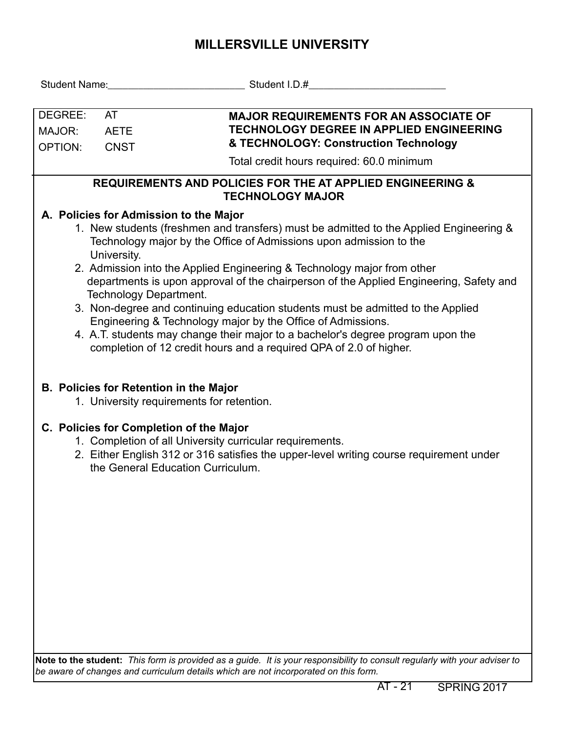## **MILLERSVILLE UNIVERSITY**

| DEGREE:<br>MAJOR:<br><b>OPTION:</b>                                                              | <b>AT</b><br><b>AETE</b><br><b>CNST</b>                                                                                                                                                                                                                                                                                                                                                                                                                                                                                                                                                                                                                                                                                         | <b>MAJOR REQUIREMENTS FOR AN ASSOCIATE OF</b><br><b>TECHNOLOGY DEGREE IN APPLIED ENGINEERING</b><br>& TECHNOLOGY: Construction Technology                                                                                           |  |  |  |  |  |  |  |  |  |
|--------------------------------------------------------------------------------------------------|---------------------------------------------------------------------------------------------------------------------------------------------------------------------------------------------------------------------------------------------------------------------------------------------------------------------------------------------------------------------------------------------------------------------------------------------------------------------------------------------------------------------------------------------------------------------------------------------------------------------------------------------------------------------------------------------------------------------------------|-------------------------------------------------------------------------------------------------------------------------------------------------------------------------------------------------------------------------------------|--|--|--|--|--|--|--|--|--|
|                                                                                                  |                                                                                                                                                                                                                                                                                                                                                                                                                                                                                                                                                                                                                                                                                                                                 | Total credit hours required: 60.0 minimum                                                                                                                                                                                           |  |  |  |  |  |  |  |  |  |
| <b>REQUIREMENTS AND POLICIES FOR THE AT APPLIED ENGINEERING &amp;</b><br><b>TECHNOLOGY MAJOR</b> |                                                                                                                                                                                                                                                                                                                                                                                                                                                                                                                                                                                                                                                                                                                                 |                                                                                                                                                                                                                                     |  |  |  |  |  |  |  |  |  |
|                                                                                                  | A. Policies for Admission to the Major<br>1. New students (freshmen and transfers) must be admitted to the Applied Engineering &<br>Technology major by the Office of Admissions upon admission to the<br>University.<br>2. Admission into the Applied Engineering & Technology major from other<br>departments is upon approval of the chairperson of the Applied Engineering, Safety and<br>Technology Department.<br>3. Non-degree and continuing education students must be admitted to the Applied<br>Engineering & Technology major by the Office of Admissions.<br>4. A.T. students may change their major to a bachelor's degree program upon the<br>completion of 12 credit hours and a required QPA of 2.0 of higher. |                                                                                                                                                                                                                                     |  |  |  |  |  |  |  |  |  |
|                                                                                                  |                                                                                                                                                                                                                                                                                                                                                                                                                                                                                                                                                                                                                                                                                                                                 | <b>B. Policies for Retention in the Major</b><br>1. University requirements for retention.                                                                                                                                          |  |  |  |  |  |  |  |  |  |
|                                                                                                  |                                                                                                                                                                                                                                                                                                                                                                                                                                                                                                                                                                                                                                                                                                                                 | C. Policies for Completion of the Major<br>1. Completion of all University curricular requirements.<br>2. Either English 312 or 316 satisfies the upper-level writing course requirement under<br>the General Education Curriculum. |  |  |  |  |  |  |  |  |  |
|                                                                                                  |                                                                                                                                                                                                                                                                                                                                                                                                                                                                                                                                                                                                                                                                                                                                 |                                                                                                                                                                                                                                     |  |  |  |  |  |  |  |  |  |

**Note to the student:** *This form is provided as a guide. It is your responsibility to consult regularly with your adviser to be aware of changes and curriculum details which are not incorporated on this form.*